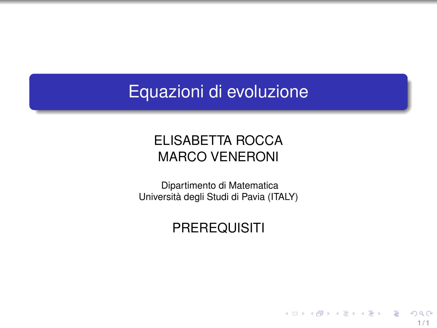# Equazioni di evoluzione

## ELISABETTA ROCCA MARCO VENERONI

Dipartimento di Matematica Università degli Studi di Pavia (ITALY)

## **PREREQUISITI**

 $1/1$ 

 $QQ$ 

э

メロトメ 御 トメ 君 トメ 君 トー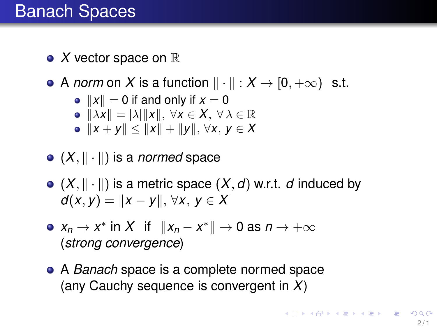# Banach Spaces

- $\bullet$  *X* vector space on  $\mathbb R$
- A *norm* on *X* is a function  $\|\cdot\|$  :  $X \to [0, +\infty)$  s.t.
	- $||x|| = 0$  if and only if  $x = 0$
	- $\|\lambda x\| = |\lambda| \|x\|, \forall x \in X, \forall \lambda \in \mathbb{R}$
	- $\bullet$   $||x + y|| < ||x|| + ||y||$ , ∀*x*, *y* ∈ *X*
- $\bullet$  (X,  $\|\cdot\|$ ) is a *normed* space
- $\bullet$   $(X, \|\cdot\|)$  is a metric space  $(X, d)$  w.r.t. *d* induced by  $d(x, v) = ||x - v||$ ,  $\forall x, v \in X$
- $x_n \to x^*$  in *X* if  $||x_n x^*|| \to 0$  as  $n \to +\infty$ (*strong convergence*)
- A *Banach* space is a complete normed space (any Cauchy sequence is convergent in *X*)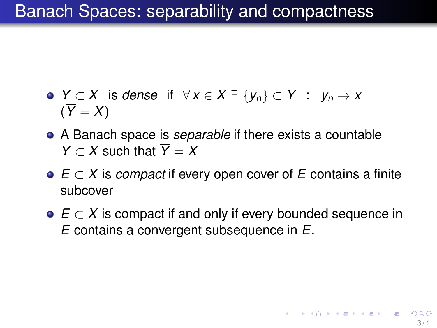# Banach Spaces: separability and compactness

- *Y* ⊂ *X* is *dense* if ∀ *x* ∈ *X* ∃ {*yn*} ⊂ *Y* : *y<sup>n</sup>* → *x*  $(\overline{Y} = X)$
- A Banach space is *separable* if there exists a countable *Y*  $\subset$  *X* such that  $\overline{Y} = X$
- *E* ⊂ *X* is *compact* if every open cover of *E* contains a finite subcover
- *E* ⊂ *X* is compact if and only if every bounded sequence in *E* contains a convergent subsequence in *E*.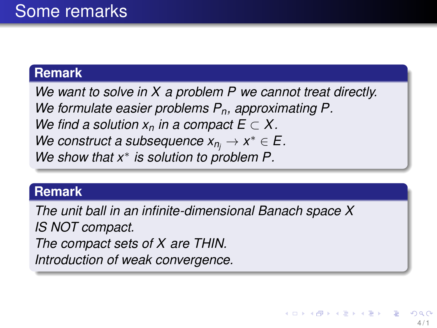### **Remark**

*We want to solve in X a problem P we cannot treat directly. We formulate easier problems Pn, approximating P. We find a solution*  $x_n$  *in a compact*  $E \subset X$ . *We construct a subsequence*  $x_{n_j} \to x^* \in E$ . *We show that x*<sup>∗</sup> *is solution to problem P.*

#### **Remark**

*The unit ball in an infinite-dimensional Banach space X IS NOT compact. The compact sets of X are THIN. Introduction of weak convergence.*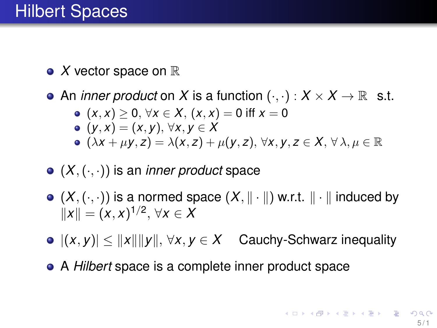$\bullet$  *X* vector space on  $\mathbb R$ 

• An *inner product* on *X* is a function  $(\cdot, \cdot) : X \times X \to \mathbb{R}$  s.t.

\n- \n
$$
(x, x) \geq 0, \forall x \in X, (x, x) = 0 \text{ iff } x = 0
$$
\n
\n- \n $(y, x) = (x, y), \forall x, y \in X$ \n
\n- \n $(\lambda x + \mu y, z) = \lambda(x, z) + \mu(y, z), \forall x, y, z \in X, \forall \lambda, \mu \in \mathbb{R}$ \n
\n

- (*X*,(·, ·)) is an *inner product* space
- $\bullet$   $(X, (\cdot, \cdot))$  is a normed space  $(X, \|\cdot\|)$  w.r.t.  $\|\cdot\|$  induced by  $\|x\| = (x, x)^{1/2}, \forall x \in X$
- $|((x, y))| \leq ||x|| ||y||$ ,  $\forall x, y \in X$  Cauchy-Schwarz inequality
- A *Hilbert* space is a complete inner product space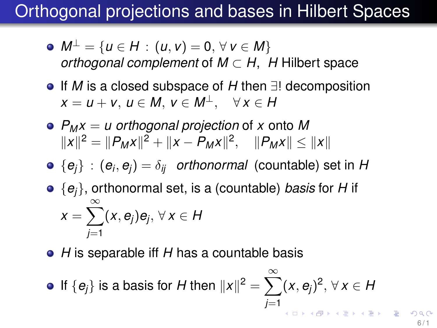# Orthogonal projections and bases in Hilbert Spaces

- $M^{\perp}$  = {*u* ∈ *H* : (*u*, *v*) = 0,  $\forall$  *v* ∈ *M*} *orthogonal complement* of *M* ⊂ *H*, *H* Hilbert space
- If *M* is a closed subspace of *H* then ∃! decomposition  $x = u + v$ ,  $u \in M$ ,  $v \in M^{\perp}$ ,  $\forall x \in H$
- *P<sup>M</sup> x* = *u orthogonal projection* of *x* onto *M*  $||x||^2 = ||P_Mx||^2 + ||x - P_Mx||^2, \quad ||P_Mx|| \le ||x||^2$
- ${e_i\}\,$  :  ${(e_i,e_j)=\delta_{ij}}$  *orthonormal* (countable) set in *H*

• {
$$
e_j
$$
}, orthonormal set, is a (countable) basis for *H* if  $x = \sum_{j=1}^{\infty} (x, e_j)e_j, \forall x \in H$ 

*H* is separable iff *H* has a countable basis

• If 
$$
\{e_j\}
$$
 is a basis for *H* then  $||x||^2 = \sum_{j=1}^{\infty} (x, e_j)^2, \forall x \in H$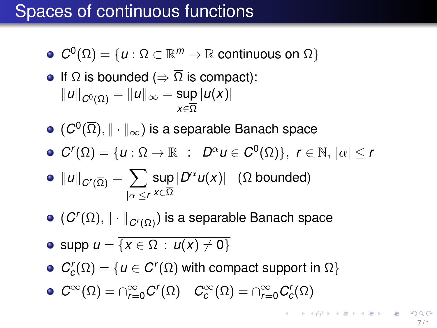# Spaces of continuous functions

 $C^0(\Omega) = \{u : \Omega \subset \mathbb{R}^m \to \mathbb{R} \text{ continuous on } \Omega\}$ 

• If 
$$
\Omega
$$
 is bounded ( $\Rightarrow \overline{\Omega}$  is compact):  
 $||u||_{C^{0}(\overline{\Omega})} = ||u||_{\infty} = \sup_{x \in \overline{\Omega}} |u(x)|$ 

- $(\mathcal{C}^0(\overline{\Omega}),\|\cdot\|_{\infty})$  is a separable Banach space
- $C^{r}(\Omega) = \{u : \Omega \to \mathbb{R} : D^{\alpha}u \in C^{0}(\Omega)\}, r \in \mathbb{N}, |\alpha| \leq r$

• 
$$
||u||_{C^r(\overline{\Omega})} = \sum_{|\alpha| \le r} \sup_{x \in \overline{\Omega}} |D^{\alpha}u(x)|
$$
 ( $\Omega$  bounded)

 $(\textit{C}^r(\overline{\Omega}),\|\cdot\|_{\textit{C}^r(\overline{\Omega})})$  is a separable Banach space

$$
\bullet \text{ supp } u = \overline{\{x \in \Omega : u(x) \neq 0\}}
$$

- $C_c^r(\Omega) = \{u \in C^r(\Omega) \text{ with compact support in } \Omega\}$
- $C^{\infty}(\Omega) = \cap_{r=0}^{\infty} C^{r}(\Omega)$   $C^{\infty}_{c}(\Omega) = \cap_{r=0}^{\infty} C^{r}_{c}(\Omega)$

.<br>◆ ロ ▶ ◆ ⑦ ▶ ◆ 夏 ▶ → 夏 ▶ │ 夏 │ ◆) Q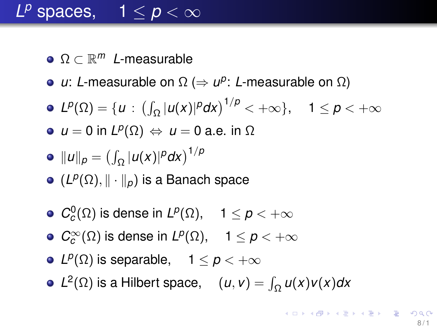# $L^p$  spaces,  $1 \leq p < \infty$

- Ω ⊂ R *<sup>m</sup> L*-measurable
- *u*: *L*-measurable on Ω ( $\Rightarrow$  *u*<sup>p</sup>: *L*-measurable on Ω)
- $L^p(\Omega) = \{u : (\int_{\Omega} |u(x)|^p dx)^{1/p} < +\infty\}, \quad 1 \leq p < +\infty$
- $u = 0$  in  $L^p(\Omega) \Leftrightarrow u = 0$  a.e. in  $\Omega$

• 
$$
||u||_p = (\int_{\Omega} |u(x)|^p dx)^{1/p}
$$

- $(L^p(\Omega), \|\cdot\|_p)$  is a Banach space
- $\mathcal{C}^0_c(\Omega)$  is dense in  $L^p(\Omega), \quad 1 \leq p < +\infty$
- $C_c^{\infty}(\Omega)$  is dense in  $L^p(\Omega)$ ,  $1 \leq p < +\infty$
- *L*<sup>*p*</sup>( $\Omega$ ) is separable, 1  $\leq p < +\infty$
- $L^2(\Omega)$  is a Hilbert space,  $(u, v) = \int_{\Omega} u(x)v(x)dx$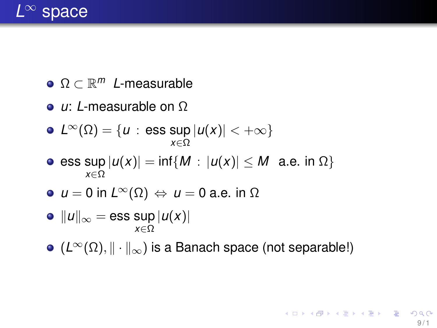

- Ω ⊂ R *<sup>m</sup> L*-measurable
- *u*: *L*-measurable on Ω

• 
$$
L^{\infty}(\Omega) = \{u : \text{ess sup } |u(x)| < +\infty\}
$$

- $\textsf{ess sup} \, |u(x)| = \textsf{inf} \{ M : |u(x)| \leq M \ \textsf{a.e. in} \ \Omega \}$ *x*∈Ω
- *u* = 0 in *L*∞(Ω) ⇔ *u* = 0 a.e. in Ω
- $||u||_{\infty}$  = ess sup  $|u(x)|$ *x*∈Ω
- $\bullet$  ( $L^{\infty}(\Omega), \|\cdot\|_{\infty}$ ) is a Banach space (not separable!)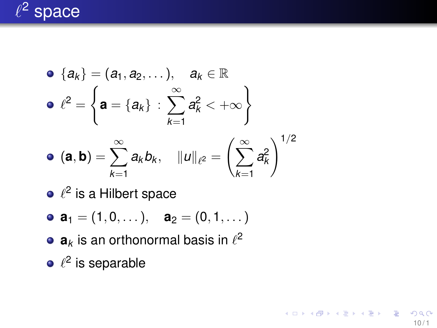

• 
$$
\{a_k\} = (a_1, a_2, ...), \quad a_k \in \mathbb{R}
$$
  
\n•  $\ell^2 = \left\{ a = \{a_k\} : \sum_{k=1}^{\infty} a_k^2 < +\infty \right\}$   
\n•  $(a, b) = \sum_{k=1}^{\infty} a_k b_k, \quad ||u||_{\ell^2} = \left(\sum_{k=1}^{\infty} a_k^2\right)^{1/2}$ 

 $10/1$ 

イロト イ部 トイモト イモト 一番

- $\ell^2$  is a Hilbert space
- **a**<sub>1</sub> = (1,0, ...), **a**<sub>2</sub> = (0,1, ...)
- $\mathbf{a}_k$  is an orthonormal basis in  $\ell^2$
- $\ell^2$  is separable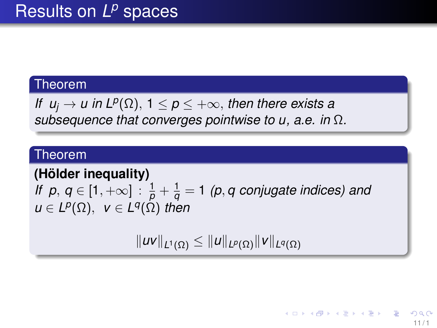*If*  $u_j \to u$  in L<sup>p</sup>( $\Omega$ ), 1  $\leq$   $p \leq +\infty$ , then there exists a *subsequence that converges pointwise to u, a.e. in* Ω*.*

### Theorem

**(Hölder inequality)** *If p*,  $q \in [1, +\infty]$  :  $\frac{1}{p} + \frac{1}{q} = 1$  (p, q conjugate indices) and  $u \in L^p(\Omega)$ ,  $v \in L^q(\Omega)$  then

 $\|uv\|_{L^1(\Omega)} \leq \|u\|_{L^p(\Omega)} \|v\|_{L^q(\Omega)}$ 

11 / 1

イロト イ団 トイ ヨ トイ ヨ トー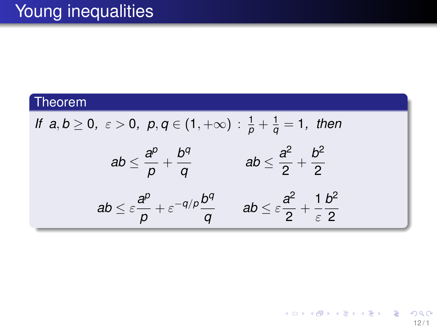If 
$$
a, b \ge 0
$$
,  $\varepsilon > 0$ ,  $p, q \in (1, +\infty)$  :  $\frac{1}{p} + \frac{1}{q} = 1$ , then  
\n
$$
ab \le \frac{a^p}{p} + \frac{b^q}{q} \qquad ab \le \frac{a^2}{2} + \frac{b^2}{2}
$$
\n
$$
ab \le \varepsilon \frac{a^p}{p} + \varepsilon^{-q/p} \frac{b^q}{q} \qquad ab \le \varepsilon \frac{a^2}{2} + \frac{1}{\varepsilon} \frac{b^2}{2}
$$

メロトメ 御 トメ 君 トメ 君 トー 重  $290$  $12/1$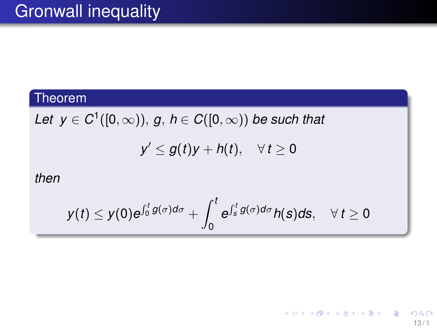$\mathcal{L}$ *et*  $y \in C^1([0,\infty)),$   $g, h \in C([0,\infty))$  be such that

 $y' \le g(t)y + h(t), \quad \forall t \ge 0$ 

*then*

$$
y(t) \leq y(0)e^{\int_0^t g(\sigma)d\sigma} + \int_0^t e^{\int_s^t g(\sigma)d\sigma} h(s)ds, \quad \forall t \geq 0
$$

13 / 1

K ロ × K 御 × K 君 × K 君 × 三君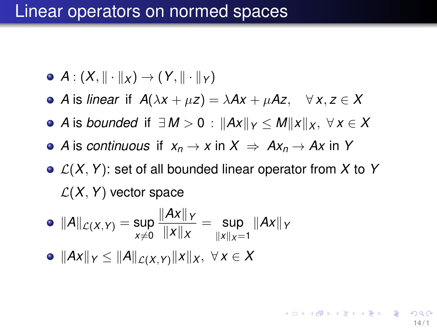## Linear operators on normed spaces

- $\bullet$  *A* :  $(X, \|\cdot\|_X) \rightarrow (Y, \|\cdot\|_Y)$
- $\bullet$  *A* is *linear* if *A*( $\lambda$ *x* +  $\mu$ *z*) =  $\lambda$ *Ax* +  $\mu$ *Az*, ∀ *x*, *z* ∈ *X*
- **•** *A* is *bounded* if  $\exists M > 0$  :  $\|Ax\|_Y \le M\|x\|_X$ ,  $\forall x \in X$
- $\bullet$  *A* is *continuous* if  $x_n \to x$  in  $X \Rightarrow Ax_n \to Ax$  in *Y*
- $\bullet$   $\mathcal{L}(X, Y)$ : set of all bounded linear operator from X to Y  $\mathcal{L}(X, Y)$  vector space

• 
$$
||A||_{\mathcal{L}(X,Y)} = \sup_{x \neq 0} \frac{||Ax||_Y}{||x||_X} = \sup_{||x||_X = 1} ||Ax||_Y
$$

$$
\bullet \ \|Ax\|_Y \leq \|A\|_{\mathcal{L}(X,Y)} \|x\|_X, \ \forall \, x \in X
$$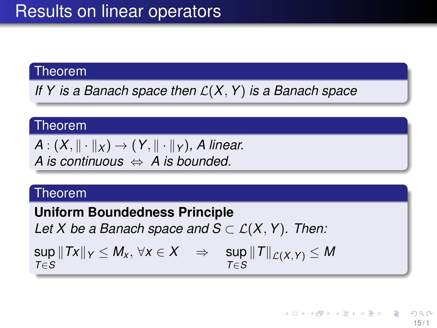*If Y is a Banach space then* L(*X*, *Y*) *is a Banach space*

### Theorem

 $A: (X, \|\cdot\|_X) \to (Y, \|\cdot\|_Y)$ , *A linear. A is continuous* ⇔ *A is bounded.*

### Theorem

**Uniform Boundedness Principle** *Let X be a Banach space and*  $S \subset \mathcal{L}(X, Y)$ *. Then:*  $\sup \Vert Tx \Vert_Y \leq M_\mathsf{x}, \, \forall \mathsf{x} \in \mathsf{X} \quad \Rightarrow \quad \sup \Vert T \Vert_{\mathcal{L}(X,Y)} \leq M$ *T*∈*S T*∈*S*

> イロト イ押ト イヨト イヨト 15 / 1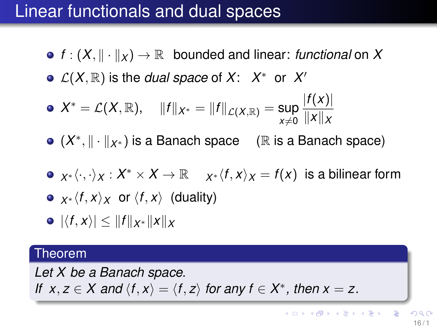# Linear functionals and dual spaces

- $f: (X, \|\cdot\|_X) \to \mathbb{R}$  bounded and linear: *functional* on X
- $\mathcal{L}(X,\mathbb{R})$  is the *dual space* of  $X: X^*$  or  $X'$

• 
$$
X^* = \mathcal{L}(X, \mathbb{R}), \quad ||f||_{X^*} = ||f||_{\mathcal{L}(X, \mathbb{R})} = \sup_{x \neq 0} \frac{|f(x)|}{||x||_X}
$$

- (X<sup>\*</sup>,  $\|\cdot\|_{X^*}$ ) is a Banach space (ℝ is a Banach space)
- $x^* \langle \cdot, \cdot \rangle_X : X^* \times X \to \mathbb{R}$  *i*  $x^* \langle f, x \rangle_X = f(x)$  is a bilinear form

• 
$$
x \times \langle f, x \rangle_X
$$
 or  $\langle f, x \rangle$  (duality)

 $\bullet$   $|\langle f, x \rangle|$  <  $||f||_{X^*} ||x||_X$ 

#### Theorem

*Let X be a Banach space. If*  $x, z \in X$  and  $\langle f, x \rangle = \langle f, z \rangle$  for any  $f \in X^*$ , then  $x = z$ .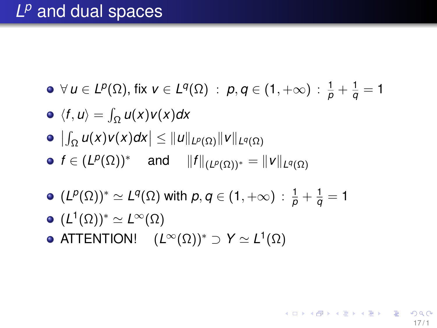- $\forall u \in L^p(\Omega)$ , fix  $v \in L^q(\Omega)$  :  $p, q \in (1, +\infty)$  :  $\frac{1}{p} + \frac{1}{q} = 1$
- $\langle f, u \rangle = \int_{\Omega} u(x) v(x) dx$
- $\left|\int_{\Omega} u(x)v(x)dx\right| \leq \|u\|_{L^{p}(\Omega)}\|v\|_{L^{q}(\Omega)}$
- $f \in (L^p(\Omega))^*$  and  $\|f\|_{(L^p(\Omega))^*} = \|v\|_{L^q(\Omega)}$

ATTENTION!  $(L^{\infty}(\Omega))^* \supset Y \simeq L^1(\Omega)$ 

- $(L^p(\Omega))^* \simeq L^q(\Omega)$  with  $p,q \in (1,+\infty)$  :  $\frac{1}{p}+\frac{1}{q}=1$
- 
- 
- $(L^1(\Omega))^* \simeq L^\infty(\Omega)$
- -

K ロ ▶ K @ ▶ K 할 > K 할 > 1 할 | X 9 Q Q

 $17/1$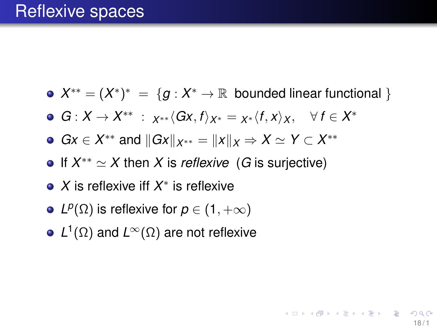$X^{**} = (X^*)^* = \{g : X^* \to \mathbb{R} \text{ bounded linear functional }\}$ 

18 / 1

K □ K K @ K K 할 X K 할 X (할 X O Q C

- $G: X \to X^{**} : X^{**} \langle Gx, f \rangle_{X^*} = X^* \langle f, x \rangle_X, \quad \forall f \in X^*$
- *Gx* ∈ *X*<sup>\*\*</sup> and  $||Gx||_{X^{**}} = ||x||_X \Rightarrow X \simeq Y \subset X^{**}$
- If  $X^{**} \simeq X$  then X is *reflexive* (G is surjective)
- *X* is reflexive iff *X* ∗ is reflexive
- *L*<sup>*p*</sup>( $\Omega$ ) is reflexive for *p* ∈ (1, + $\infty$ )
- *L* 1 (Ω) and *L*∞(Ω) are not reflexive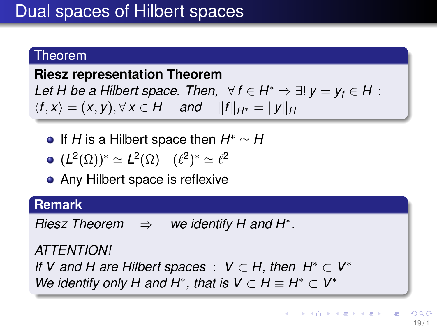### <span id="page-18-0"></span>**Riesz representation Theorem**

Let H be a Hilbert space. Then,  $\forall f \in H^* \Rightarrow \exists! y = y_f \in H$ :  $\langle f, x \rangle = (x, y), \forall x \in H$  and  $||f||_{H^*} = ||y||_H$ 

If *H* is a Hilbert space then  $H^* \simeq H$ 

$$
\bullet \ (L^2(\Omega))^* \simeq L^2(\Omega) \quad (\ell^2)^* \simeq \ell^2
$$

• Any Hilbert space is reflexive

**Remark**

*Riesz Theorem* ⇒ *we identify H and H*<sup>∗</sup> *.*

*ATTENTION! If V* and *H* are Hilbert spaces :  $V \subset H$ , then  $H^* \subset V^*$ *We identify only H and H<sup>\*</sup>, that is*  $V \subset H \equiv H^* \subset V^*$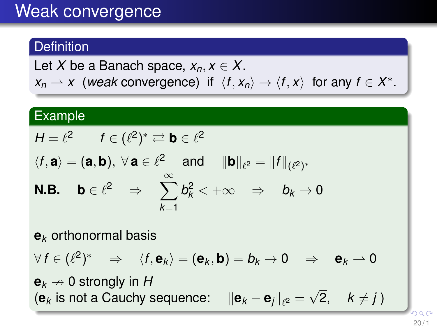# Weak convergence

## **Definition**

Let *X* be a Banach space,  $x_n, x \in X$ .  $x_n \rightharpoonup x$  (*weak* convergence) if  $\langle f, x_n \rangle \rightarrow \langle f, x \rangle$  for any  $f \in X^*$ .

## **Example**

$$
H=\ell^2 \qquad f\in (\ell^2)^*\rightleftarrows {\textbf{b}}\in \ell^2
$$

$$
\langle f, \mathbf{a} \rangle = (\mathbf{a}, \mathbf{b}), \forall \mathbf{a} \in \ell^2 \text{ and } ||\mathbf{b}||_{\ell^2} = ||f||_{(\ell^2)^*}
$$
  
\n**N.B.**  $\mathbf{b} \in \ell^2 \Rightarrow \sum_{k=1}^{\infty} b_k^2 < +\infty \Rightarrow b_k \to 0$ 

**e***<sup>k</sup>* orthonormal basis

$$
\forall f \in (\ell^2)^* \quad \Rightarrow \quad \langle f, \mathbf{e}_k \rangle = (\mathbf{e}_k, \mathbf{b}) = b_k \to 0 \quad \Rightarrow \quad \mathbf{e}_k \to 0
$$

 ${\bf e}_k \nightharpoonup 0$  strongly in H  $\left\| \mathbf{e}_k \right\|$  is not a Cauchy sequence:  $\left\| \mathbf{e}_k - \mathbf{e}_j \right\|_{\ell^2} = \emptyset$ √ 2,  $k \neq j$ 

 $20/1$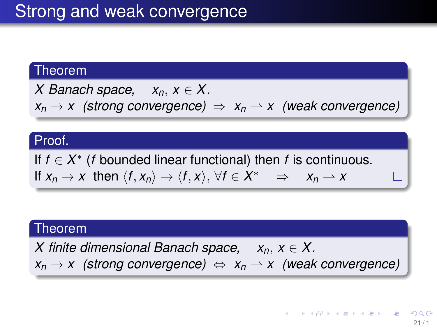*X* Banach space,  $x_n, x \in X$ .  $x_n \rightarrow x$  (strong convergence)  $\Rightarrow x_n \rightarrow x$  (weak convergence)

#### Proof.

If  $f \in X^*$  (*f* bounded linear functional) then *f* is continuous. If  $x_n \to x$  then  $\langle f, x_n \rangle \to \langle f, x \rangle$ ,  $\forall f \in X^* \Rightarrow x_n \to x$ 

### Theorem

*X* finite dimensional Banach space,  $x_n, x \in X$ .  $x_n \rightarrow x$  (strong convergence)  $\Leftrightarrow x_n \rightarrow x$  (weak convergence)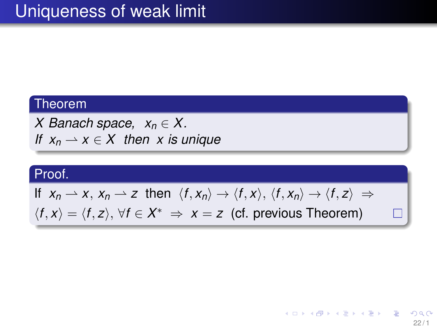*X* Banach space,  $x_n \in X$ . *If*  $x_n \rightharpoonup x \in X$  *then x is unique* 

## Proof.

If 
$$
x_n \rightharpoonup x
$$
,  $x_n \rightharpoonup z$  then  $\langle f, x_n \rangle \rightarrow \langle f, x \rangle$ ,  $\langle f, x_n \rangle \rightarrow \langle f, z \rangle \Rightarrow$   
 $\langle f, x \rangle = \langle f, z \rangle$ ,  $\forall f \in X^* \Rightarrow x = z$  (cf. previous Theorem)

П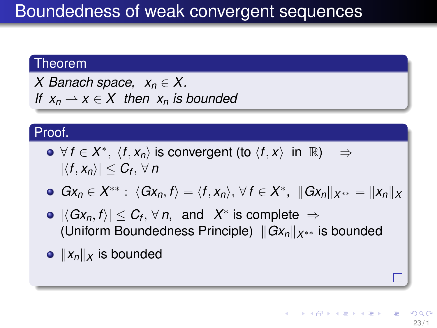*X* Banach space,  $x_n \in X$ . *If*  $x_n \rightharpoonup x \in X$  then  $x_n$  *is bounded* 

### Proof.

- $\forall f \in X^*, \ \langle f, x_n \rangle \text{ is convergent (to } \langle f, x \rangle \text{ in } \mathbb{R} \rangle \Rightarrow$  $|\langle f, x_n \rangle| \leq C_f$ ,  $\forall n$
- $Gx_n \in X^{**}: \ \langle Gx_n, f \rangle = \langle f, x_n \rangle, \ \forall \ f \in X^*, \ \ ||Gx_n||_{X^{**}} = ||x_n||_X$
- $|\langle Gx_n, f \rangle| \leq C_f$ ,  $\forall n$ , and  $X^*$  is complete  $\Rightarrow$ (Uniform Boundedness Principle)  $||Gx_n||_{X^{**}}$  is bounded
- $||x_n||$ *x* is bounded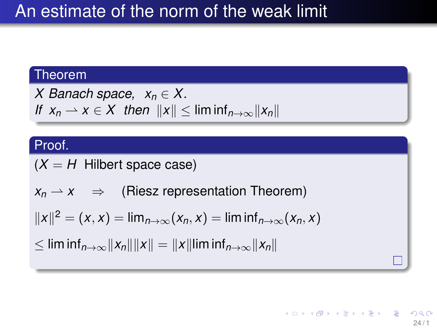# An estimate of the norm of the weak limit

## Theorem

X Banach space, 
$$
x_n \in X
$$
.  
If  $x_n \to x \in X$  then  $||x|| \leq \liminf_{n \to \infty} ||x_n||$ 

## Proof.

$$
(X = H \t{Hilbert space case})
$$

$$
x_n \rightharpoonup x \quad \Rightarrow \quad \text{(Riesz representation Theorem)}
$$

$$
||x||^2 = (x, x) = \lim_{n \to \infty} (x_n, x) = \liminf_{n \to \infty} (x_n, x)
$$

$$
\leq \liminf_{n\to\infty}||x_n|| ||x|| = ||x|| \liminf_{n\to\infty}||x_n||
$$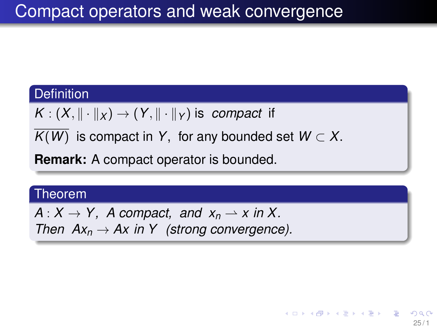### **Definition**

 $K: (X, \|\cdot\|_X) \to (Y, \|\cdot\|_Y)$  is *compact* if

 $\overline{K(W)}$  is compact in *Y*, for any bounded set  $W \subset X$ .

**Remark:** A compact operator is bounded.

#### Theorem

 $A: X \to Y$ , A compact, and  $x_n \to x$  in X. *Then*  $Ax_n \to Ax$  *in Y* (strong convergence).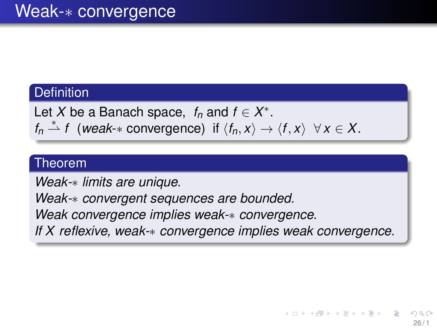### **Definition**

Let *X* be a Banach space,  $f_n$  and  $f \in X^*$ .  $f_n \stackrel{*}{\rightharpoonup} f$  (*weak*-\* convergence) if  $\langle f_n, x \rangle \to \langle f, x \rangle \ \forall x \in X$ .

### Theorem

*Weak-*∗ *limits are unique.*

*Weak-*∗ *convergent sequences are bounded. Weak convergence implies weak-*∗ *convergence. If X reflexive, weak-*∗ *convergence implies weak convergence.*